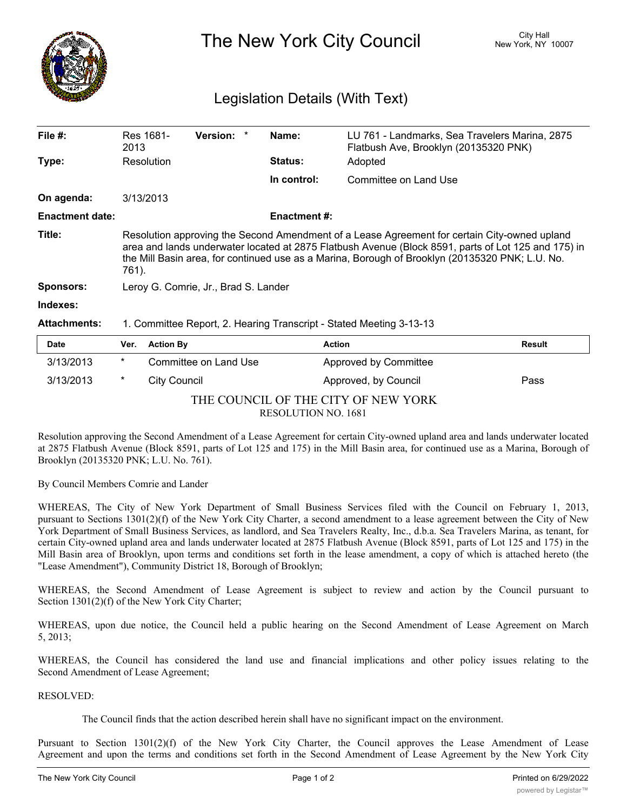

The New York City Council New York, NY 10007

## Legislation Details (With Text)

| File #:                | Res 1681-<br>2013                                                                                                                                                                                                                                                                                               | <b>Version:</b> |  | Name:              | LU 761 - Landmarks, Sea Travelers Marina, 2875<br>Flatbush Ave, Brooklyn (20135320 PNK) |  |
|------------------------|-----------------------------------------------------------------------------------------------------------------------------------------------------------------------------------------------------------------------------------------------------------------------------------------------------------------|-----------------|--|--------------------|-----------------------------------------------------------------------------------------|--|
| Type:                  | Resolution                                                                                                                                                                                                                                                                                                      |                 |  | <b>Status:</b>     | Adopted                                                                                 |  |
|                        |                                                                                                                                                                                                                                                                                                                 |                 |  | In control:        | Committee on Land Use                                                                   |  |
| On agenda:             | 3/13/2013                                                                                                                                                                                                                                                                                                       |                 |  |                    |                                                                                         |  |
| <b>Enactment date:</b> |                                                                                                                                                                                                                                                                                                                 |                 |  | <b>Enactment#:</b> |                                                                                         |  |
| Title:                 | Resolution approving the Second Amendment of a Lease Agreement for certain City-owned upland<br>area and lands underwater located at 2875 Flatbush Avenue (Block 8591, parts of Lot 125 and 175) in<br>the Mill Basin area, for continued use as a Marina, Borough of Brooklyn (20135320 PNK; L.U. No.<br>761). |                 |  |                    |                                                                                         |  |
| <b>Sponsors:</b>       | Leroy G. Comrie, Jr., Brad S. Lander                                                                                                                                                                                                                                                                            |                 |  |                    |                                                                                         |  |
| Indexes:               |                                                                                                                                                                                                                                                                                                                 |                 |  |                    |                                                                                         |  |
| <b>Attachments:</b>    | 1. Committee Report, 2. Hearing Transcript - Stated Meeting 3-13-13                                                                                                                                                                                                                                             |                 |  |                    |                                                                                         |  |

| <b>Date</b>                         | Ver. | <b>Action By</b>      | <b>Action</b>         | <b>Result</b> |  |  |  |  |
|-------------------------------------|------|-----------------------|-----------------------|---------------|--|--|--|--|
| 3/13/2013                           | *    | Committee on Land Use | Approved by Committee |               |  |  |  |  |
| 3/13/2013                           | *    | City Council          | Approved, by Council  | Pass          |  |  |  |  |
| THE COUNCIL OF THE CITY OF NEW YORK |      |                       |                       |               |  |  |  |  |
| <b>RESOLUTION NO. 1681</b>          |      |                       |                       |               |  |  |  |  |

Resolution approving the Second Amendment of a Lease Agreement for certain City-owned upland area and lands underwater located at 2875 Flatbush Avenue (Block 8591, parts of Lot 125 and 175) in the Mill Basin area, for continued use as a Marina, Borough of Brooklyn (20135320 PNK; L.U. No. 761).

By Council Members Comrie and Lander

WHEREAS, The City of New York Department of Small Business Services filed with the Council on February 1, 2013, pursuant to Sections 1301(2)(f) of the New York City Charter, a second amendment to a lease agreement between the City of New York Department of Small Business Services, as landlord, and Sea Travelers Realty, Inc., d.b.a. Sea Travelers Marina, as tenant, for certain City-owned upland area and lands underwater located at 2875 Flatbush Avenue (Block 8591, parts of Lot 125 and 175) in the Mill Basin area of Brooklyn, upon terms and conditions set forth in the lease amendment, a copy of which is attached hereto (the "Lease Amendment"), Community District 18, Borough of Brooklyn;

WHEREAS, the Second Amendment of Lease Agreement is subject to review and action by the Council pursuant to Section 1301(2)(f) of the New York City Charter;

WHEREAS, upon due notice, the Council held a public hearing on the Second Amendment of Lease Agreement on March 5, 2013;

WHEREAS, the Council has considered the land use and financial implications and other policy issues relating to the Second Amendment of Lease Agreement;

RESOLVED:

The Council finds that the action described herein shall have no significant impact on the environment.

Pursuant to Section 1301(2)(f) of the New York City Charter, the Council approves the Lease Amendment of Lease Agreement and upon the terms and conditions set forth in the Second Amendment of Lease Agreement by the New York City